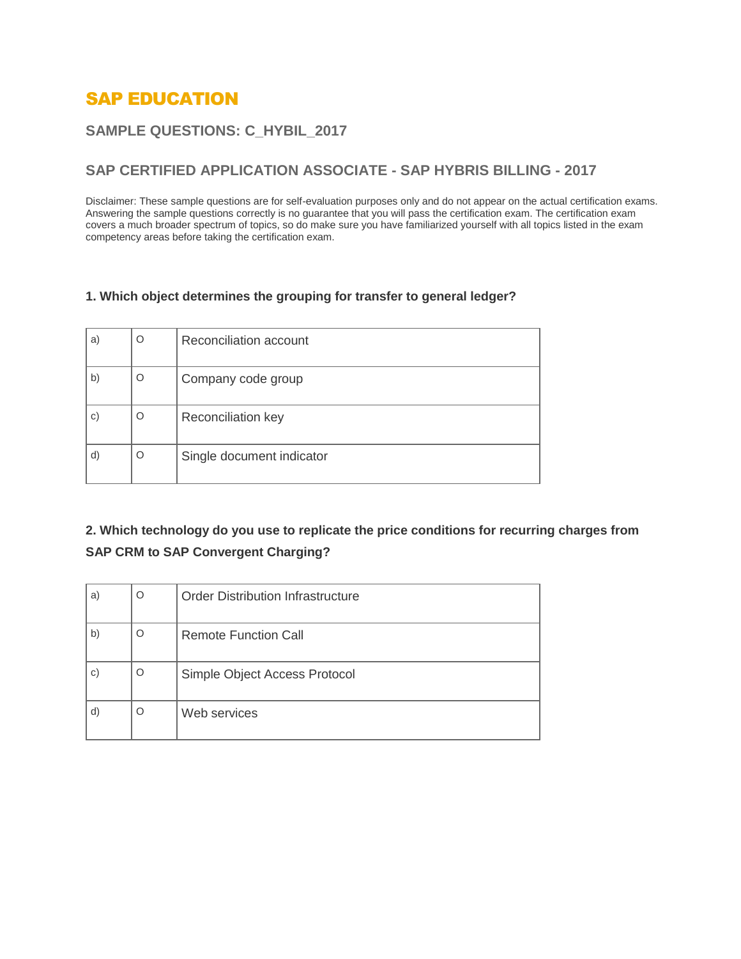# SAP EDUCATION

### **SAMPLE QUESTIONS: C\_HYBIL\_2017**

## **SAP CERTIFIED APPLICATION ASSOCIATE - SAP HYBRIS BILLING - 2017**

Disclaimer: These sample questions are for self-evaluation purposes only and do not appear on the actual certification exams. Answering the sample questions correctly is no guarantee that you will pass the certification exam. The certification exam covers a much broader spectrum of topics, so do make sure you have familiarized yourself with all topics listed in the exam competency areas before taking the certification exam.

#### 1. Which object determines the grouping for transfer to general ledger?

| a) | O | Reconciliation account    |
|----|---|---------------------------|
| b) | O | Company code group        |
| C) | O | Reconciliation key        |
| d) | O | Single document indicator |

2. Which technology do you use to replicate the price conditions for recurring charges from SAP CRM to SAP Convergent Charging?

| a)           | O | <b>Order Distribution Infrastructure</b> |
|--------------|---|------------------------------------------|
| b)           | O | <b>Remote Function Call</b>              |
| $\mathbf{C}$ | O | Simple Object Access Protocol            |
| d)           | O | Web services                             |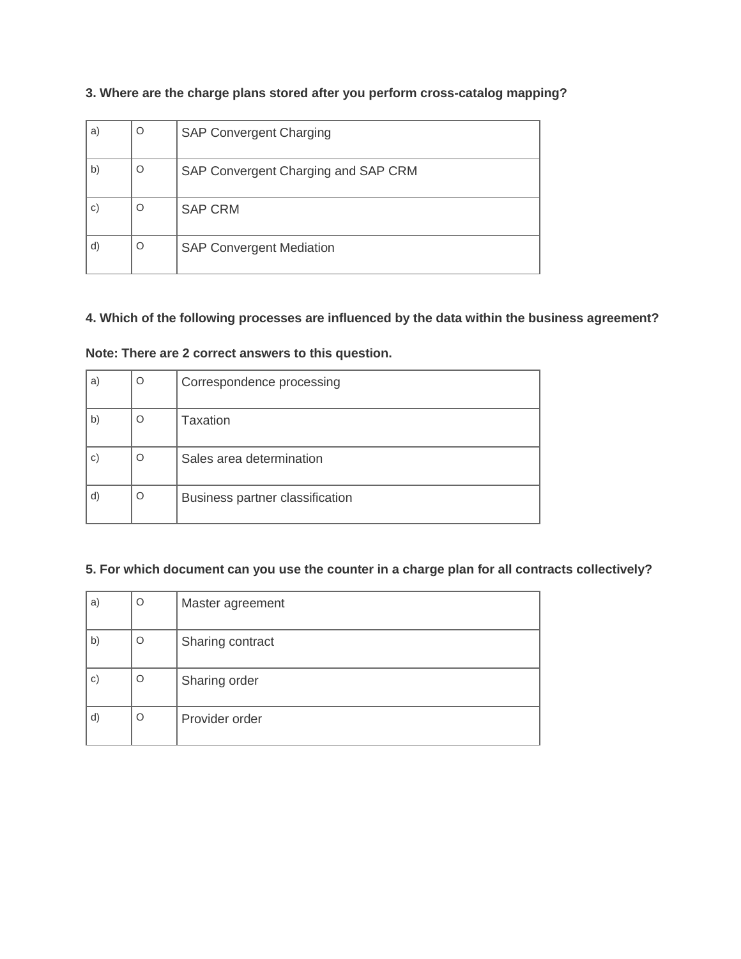| a) | O | <b>SAP Convergent Charging</b>      |
|----|---|-------------------------------------|
| b) | O | SAP Convergent Charging and SAP CRM |
| C) | O | <b>SAP CRM</b>                      |
| d) | O | <b>SAP Convergent Mediation</b>     |

3. Where are the charge plans stored after you perform cross-catalog mapping?

4. Which of the following processes are influenced by the data within the business agreement?

a) O Correspondence processing b)  $\vert$  O | Taxation  $\mathsf{c}$  | O | Sales area determination  $\alpha$   $\begin{array}{|c|c|} \hline \text{O} & \text{Business partner classification} \hline \end{array}$ 

Note: There are 2 correct answers to this question.

5. For which document can you use the counter in a charge plan for all contracts collectively?

| a) | O | Master agreement |
|----|---|------------------|
| b) | O | Sharing contract |
| C) | O | Sharing order    |
| d) | O | Provider order   |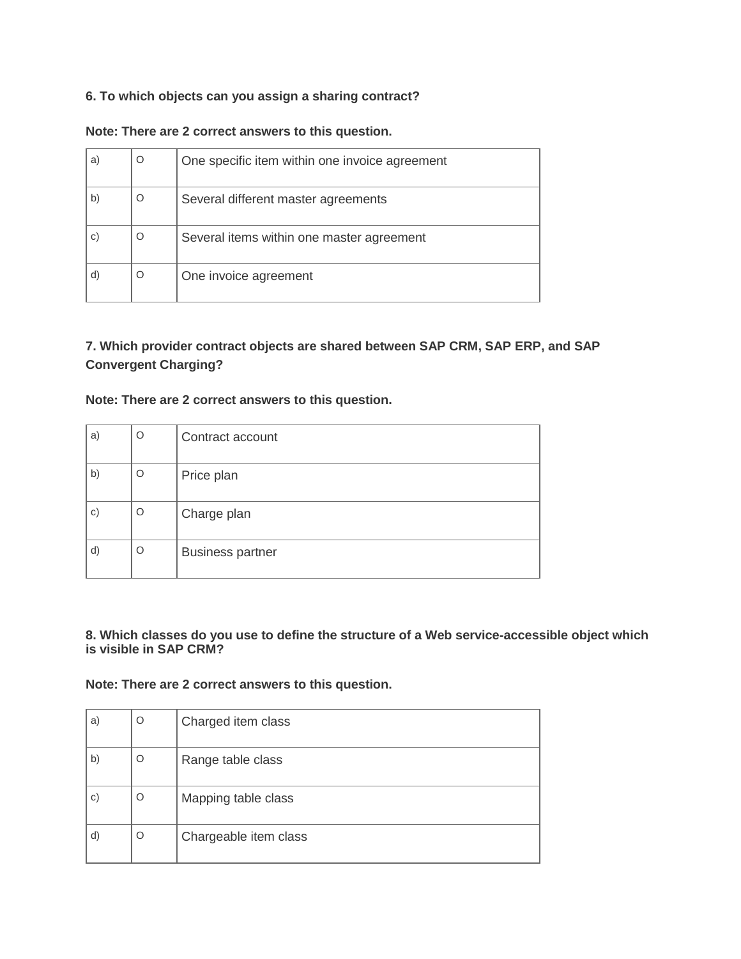6. To which objects can you assign a sharing contract?

| a) | O | One specific item within one invoice agreement |
|----|---|------------------------------------------------|
| b) | O | Several different master agreements            |
|    | O | Several items within one master agreement      |
|    | O | One invoice agreement                          |

Note: There are 2 correct answers to this question.

7. Which provider contract objects are shared between SAP CRM, SAP ERP, and SAP Convergent Charging?

Note: There are 2 correct answers to this question.

| a) | O | Contract account        |
|----|---|-------------------------|
| b) | O | Price plan              |
| c) | O | Charge plan             |
| d) | O | <b>Business partner</b> |

8. Which classes do you use to define the structure of a Web service-accessible object which is visible in SAP CRM?

Note: There are 2 correct answers to this question.

| a) | O | Charged item class    |
|----|---|-----------------------|
| b) | O | Range table class     |
| C) | O | Mapping table class   |
| d) | O | Chargeable item class |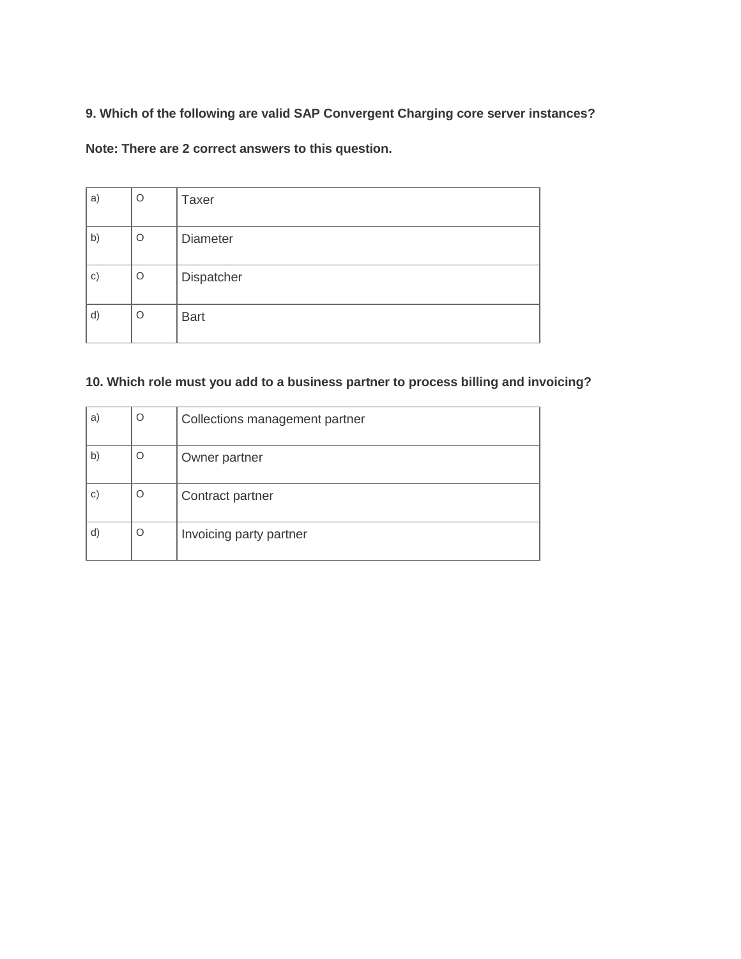9. Which of the following are valid SAP Convergent Charging core server instances?

Note: There are 2 correct answers to this question.

| a) | $\circ$ | Taxer       |
|----|---------|-------------|
| b) | $\circ$ | Diameter    |
| c) | O       | Dispatcher  |
| d) | O       | <b>Bart</b> |

10. Which role must you add to a business partner to process billing and invoicing?

| a) | O | Collections management partner |
|----|---|--------------------------------|
| b) | Ο | Owner partner                  |
| C) | O | Contract partner               |
| d) | O | Invoicing party partner        |